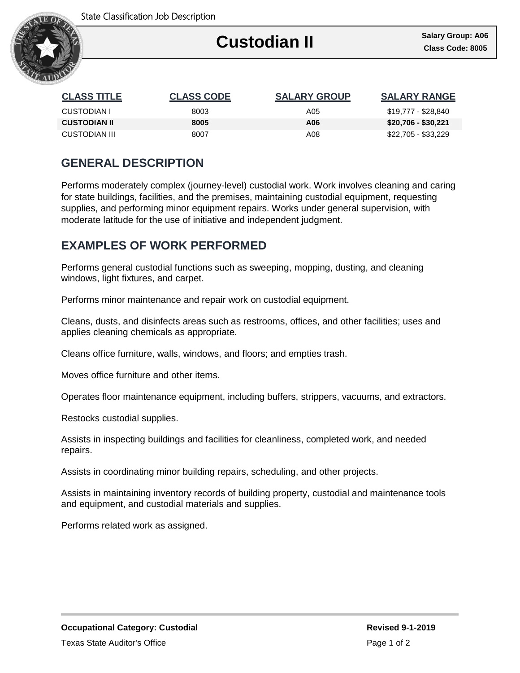

Ι

| <b>CLASS TITLE</b>  | <b>CLASS CODE</b> | <b>SALARY GROUP</b> | <b>SALARY RANGE</b> |
|---------------------|-------------------|---------------------|---------------------|
| CUSTODIAN I         | 8003              | A05                 | \$19,777 - \$28,840 |
| <b>CUSTODIAN II</b> | 8005              | A06                 | \$20,706 - \$30,221 |
| CUSTODIAN III       | 8007              | A08                 | \$22,705 - \$33,229 |

## **GENERAL DESCRIPTION**

Performs moderately complex (journey-level) custodial work. Work involves cleaning and caring for state buildings, facilities, and the premises, maintaining custodial equipment, requesting supplies, and performing minor equipment repairs. Works under general supervision, with moderate latitude for the use of initiative and independent judgment.

## **EXAMPLES OF WORK PERFORMED**

Performs general custodial functions such as sweeping, mopping, dusting, and cleaning windows, light fixtures, and carpet.

Performs minor maintenance and repair work on custodial equipment.

Cleans, dusts, and disinfects areas such as restrooms, offices, and other facilities; uses and applies cleaning chemicals as appropriate.

Cleans office furniture, walls, windows, and floors; and empties trash.

Moves office furniture and other items.

Operates floor maintenance equipment, including buffers, strippers, vacuums, and extractors.

Restocks custodial supplies.

Assists in inspecting buildings and facilities for cleanliness, completed work, and needed repairs.

Assists in coordinating minor building repairs, scheduling, and other projects.

Assists in maintaining inventory records of building property, custodial and maintenance tools and equipment, and custodial materials and supplies.

Performs related work as assigned.